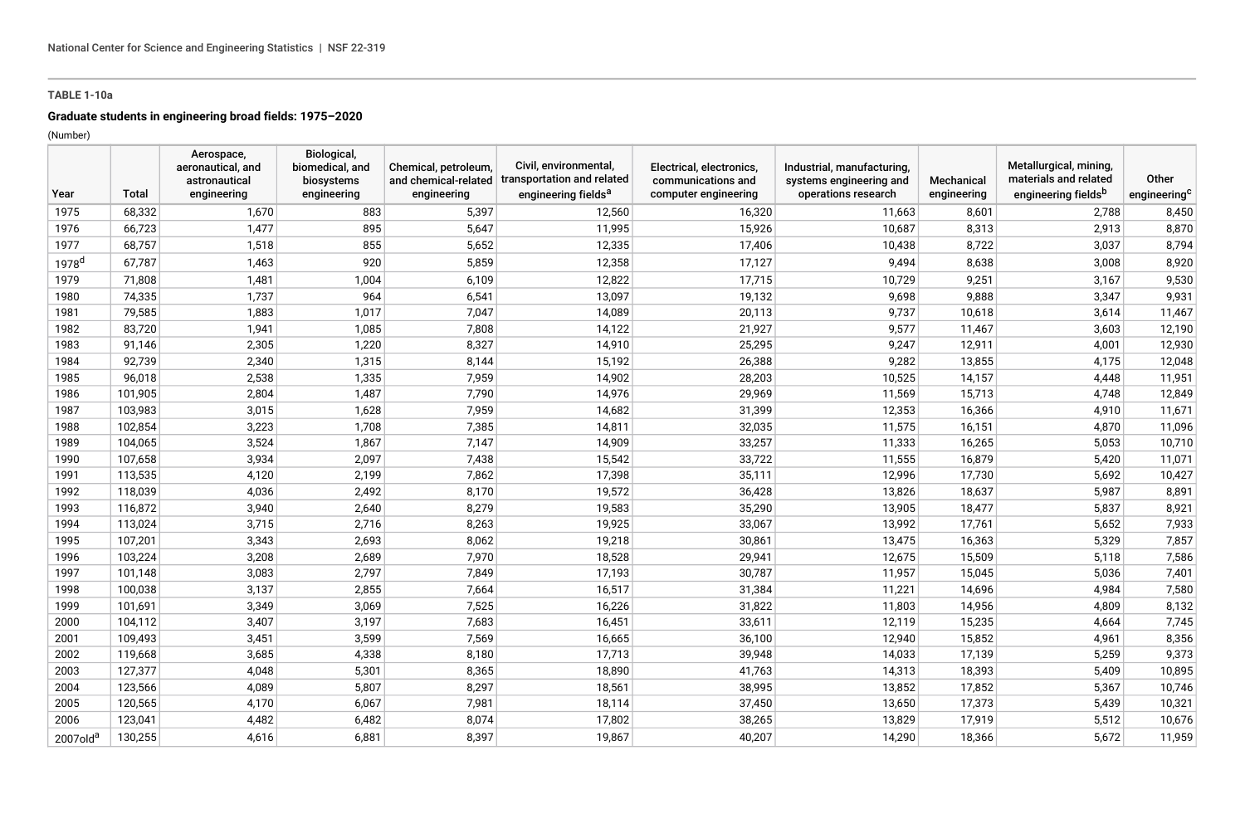## **TABLE 1-10a**

# **Graduate students in engineering broad fields: 1975–2020**

(Number)

| Year                 | Total   | Aerospace,<br>aeronautical, and<br>astronautical<br>engineering | Biological,<br>biomedical, and<br>biosystems<br>engineering | Chemical, petroleum,<br>and chemical-related<br>engineering | Civil, environmental,<br>transportation and related<br>engineering fields <sup>a</sup> | Electrical, electronics,<br>communications and<br>computer engineering | Industrial, manufacturing,<br>systems engineering and<br>operations research | Mechanical<br>engineering | Metallurgical, mining,<br>materials and related<br>engineering fieldsb | Other<br>engineering <sup>c</sup> |
|----------------------|---------|-----------------------------------------------------------------|-------------------------------------------------------------|-------------------------------------------------------------|----------------------------------------------------------------------------------------|------------------------------------------------------------------------|------------------------------------------------------------------------------|---------------------------|------------------------------------------------------------------------|-----------------------------------|
| 1975                 | 68,332  | 1,670                                                           | 883                                                         | 5,397                                                       | 12,560                                                                                 | 16,320                                                                 | 11,663                                                                       | 8,601                     | 2,788                                                                  | 8,450                             |
| 1976                 | 66,723  | 1,477                                                           | 895                                                         | 5,647                                                       | 11,995                                                                                 | 15,926                                                                 | 10,687                                                                       | 8,313                     | 2,913                                                                  | 8,870                             |
| 1977                 | 68,757  | 1,518                                                           | 855                                                         | 5,652                                                       | 12,335                                                                                 | 17,406                                                                 | 10,438                                                                       | 8,722                     | 3,037                                                                  | 8,794                             |
| 1978 <sup>d</sup>    | 67,787  | 1,463                                                           | 920                                                         | 5,859                                                       | 12,358                                                                                 | 17,127                                                                 | 9,494                                                                        | 8,638                     | 3,008                                                                  | 8,920                             |
| 1979                 | 71,808  | 1,481                                                           | 1,004                                                       | 6,109                                                       | 12,822                                                                                 | 17,715                                                                 | 10,729                                                                       | 9,251                     | 3,167                                                                  | 9,530                             |
| 1980                 | 74,335  | 1,737                                                           | 964                                                         | 6,541                                                       | 13,097                                                                                 | 19,132                                                                 | 9,698                                                                        | 9,888                     | 3,347                                                                  | 9,931                             |
| 1981                 | 79,585  | 1,883                                                           | 1,017                                                       | 7,047                                                       | 14,089                                                                                 | 20,113                                                                 | 9,737                                                                        | 10,618                    | 3,614                                                                  | 11,467                            |
| 1982                 | 83,720  | 1,941                                                           | 1,085                                                       | 7,808                                                       | 14,122                                                                                 | 21,927                                                                 | 9,577                                                                        | 11,467                    | 3,603                                                                  | 12,190                            |
| 1983                 | 91,146  | 2,305                                                           | 1,220                                                       | 8,327                                                       | 14,910                                                                                 | 25,295                                                                 | 9,247                                                                        | 12,911                    | 4,001                                                                  | 12,930                            |
| 1984                 | 92,739  | 2,340                                                           | 1,315                                                       | 8,144                                                       | 15,192                                                                                 | 26,388                                                                 | 9,282                                                                        | 13,855                    | 4,175                                                                  | 12,048                            |
| 1985                 | 96,018  | 2,538                                                           | 1,335                                                       | 7,959                                                       | 14,902                                                                                 | 28,203                                                                 | 10,525                                                                       | 14,157                    | 4,448                                                                  | 11,951                            |
| 1986                 | 101,905 | 2,804                                                           | 1,487                                                       | 7,790                                                       | 14,976                                                                                 | 29,969                                                                 | 11,569                                                                       | 15,713                    | 4,748                                                                  | 12,849                            |
| 1987                 | 103,983 | 3,015                                                           | 1,628                                                       | 7,959                                                       | 14,682                                                                                 | 31,399                                                                 | 12,353                                                                       | 16,366                    | 4,910                                                                  | 11,671                            |
| 1988                 | 102,854 | 3,223                                                           | 1,708                                                       | 7,385                                                       | 14,811                                                                                 | 32,035                                                                 | 11,575                                                                       | 16,151                    | 4,870                                                                  | 11,096                            |
| 1989                 | 104,065 | 3,524                                                           | 1,867                                                       | 7,147                                                       | 14,909                                                                                 | 33,257                                                                 | 11,333                                                                       | 16,265                    | 5,053                                                                  | 10,710                            |
| 1990                 | 107,658 | 3,934                                                           | 2,097                                                       | 7,438                                                       | 15,542                                                                                 | 33,722                                                                 | 11,555                                                                       | 16,879                    | 5,420                                                                  | 11,071                            |
| 1991                 | 113,535 | 4,120                                                           | 2,199                                                       | 7,862                                                       | 17,398                                                                                 | 35,111                                                                 | 12,996                                                                       | 17,730                    | 5,692                                                                  | 10,427                            |
| 1992                 | 118,039 | 4,036                                                           | 2,492                                                       | 8,170                                                       | 19,572                                                                                 | 36,428                                                                 | 13,826                                                                       | 18,637                    | 5,987                                                                  | 8,891                             |
| 1993                 | 116,872 | 3,940                                                           | 2,640                                                       | 8,279                                                       | 19,583                                                                                 | 35,290                                                                 | 13,905                                                                       | 18,477                    | 5,837                                                                  | 8,921                             |
| 1994                 | 113,024 | 3,715                                                           | 2,716                                                       | 8,263                                                       | 19,925                                                                                 | 33,067                                                                 | 13,992                                                                       | 17,761                    | 5,652                                                                  | 7,933                             |
| 1995                 | 107,201 | 3,343                                                           | 2,693                                                       | 8,062                                                       | 19,218                                                                                 | 30,861                                                                 | 13,475                                                                       | 16,363                    | 5,329                                                                  | 7,857                             |
| 1996                 | 103,224 | 3,208                                                           | 2,689                                                       | 7,970                                                       | 18,528                                                                                 | 29,941                                                                 | 12,675                                                                       | 15,509                    | 5,118                                                                  | 7,586                             |
| 1997                 | 101,148 | 3,083                                                           | 2,797                                                       | 7,849                                                       | 17,193                                                                                 | 30,787                                                                 | 11,957                                                                       | 15,045                    | 5,036                                                                  | 7,401                             |
| 1998                 | 100,038 | 3,137                                                           | 2,855                                                       | 7,664                                                       | 16,517                                                                                 | 31,384                                                                 | 11,221                                                                       | 14,696                    | 4,984                                                                  | 7,580                             |
| 1999                 | 101,691 | 3,349                                                           | 3,069                                                       | 7,525                                                       | 16,226                                                                                 | 31,822                                                                 | 11,803                                                                       | 14,956                    | 4,809                                                                  | 8,132                             |
| 2000                 | 104,112 | 3,407                                                           | 3,197                                                       | 7,683                                                       | 16,451                                                                                 | 33,611                                                                 | 12,119                                                                       | 15,235                    | 4,664                                                                  | 7,745                             |
| 2001                 | 109,493 | 3,451                                                           | 3,599                                                       | 7,569                                                       | 16,665                                                                                 | 36,100                                                                 | 12,940                                                                       | 15,852                    | 4,961                                                                  | 8,356                             |
| 2002                 | 119,668 | 3,685                                                           | 4,338                                                       | 8,180                                                       | 17,713                                                                                 | 39,948                                                                 | 14,033                                                                       | 17,139                    | 5,259                                                                  | 9,373                             |
| 2003                 | 127,377 | 4,048                                                           | 5,301                                                       | 8,365                                                       | 18,890                                                                                 | 41,763                                                                 | 14,313                                                                       | 18,393                    | 5,409                                                                  | 10,895                            |
| 2004                 | 123,566 | 4,089                                                           | 5,807                                                       | 8,297                                                       | 18,561                                                                                 | 38,995                                                                 | 13,852                                                                       | 17,852                    | 5,367                                                                  | 10,746                            |
| 2005                 | 120,565 | 4,170                                                           | 6,067                                                       | 7,981                                                       | 18,114                                                                                 | 37,450                                                                 | 13,650                                                                       | 17,373                    | 5,439                                                                  | 10,321                            |
| 2006                 | 123,041 | 4,482                                                           | 6,482                                                       | 8,074                                                       | 17,802                                                                                 | 38,265                                                                 | 13,829                                                                       | 17,919                    | 5,512                                                                  | 10,676                            |
| 2007old <sup>a</sup> | 130,255 | 4,616                                                           | 6,881                                                       | 8,397                                                       | 19,867                                                                                 | 40,207                                                                 | 14,290                                                                       | 18,366                    | 5,672                                                                  | 11,959                            |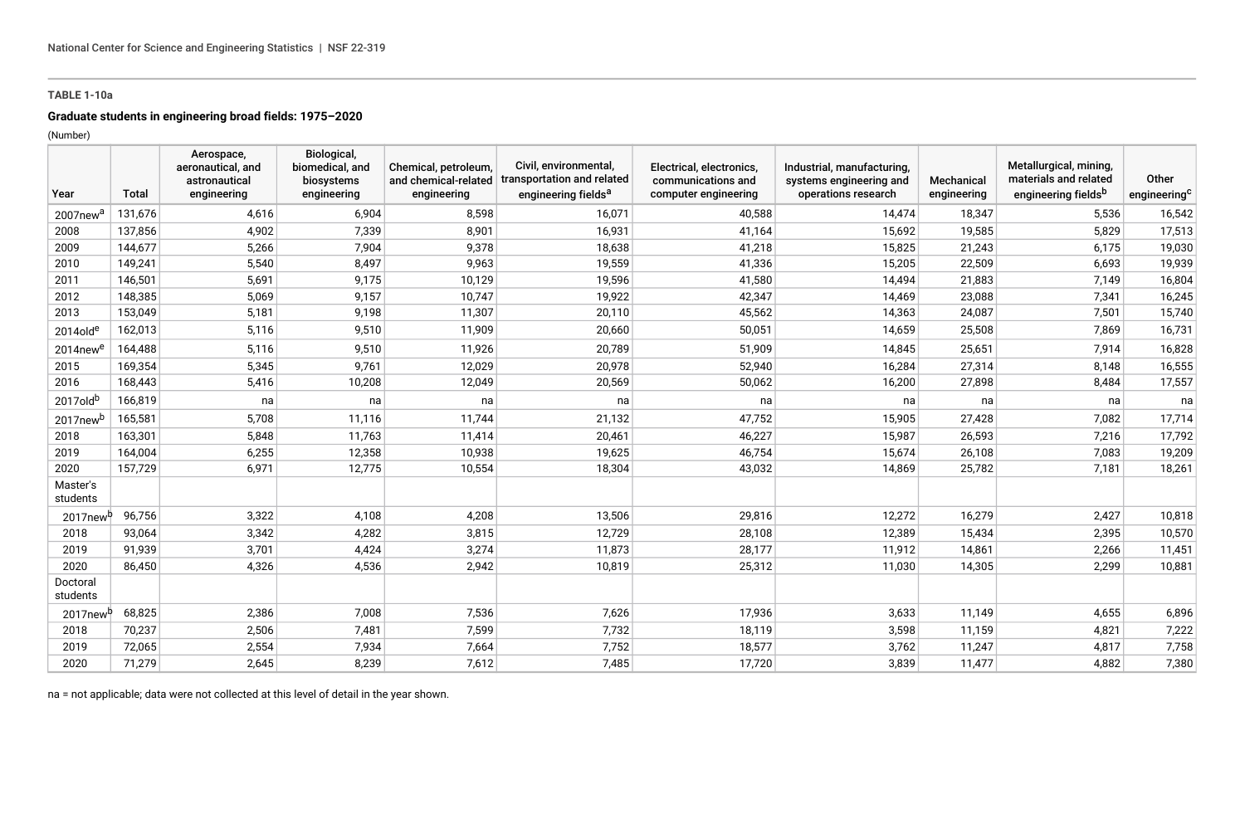## **TABLE 1-10a**

#### **Graduate students in engineering broad fields: 1975–2020**

(Number)

| Year                 | <b>Total</b> | Aerospace,<br>aeronautical, and<br>astronautical<br>engineering | Biological,<br>biomedical, and<br>biosystems<br>engineering | Chemical, petroleum,<br>and chemical-related<br>engineering | Civil, environmental,<br>transportation and related<br>engineering fields <sup>a</sup> | Electrical, electronics,<br>communications and<br>computer engineering | Industrial, manufacturing,<br>systems engineering and<br>operations research | Mechanical<br>engineering | Metallurgical, mining,<br>materials and related<br>engineering fieldsb | Other<br>engineering <sup>c</sup> |
|----------------------|--------------|-----------------------------------------------------------------|-------------------------------------------------------------|-------------------------------------------------------------|----------------------------------------------------------------------------------------|------------------------------------------------------------------------|------------------------------------------------------------------------------|---------------------------|------------------------------------------------------------------------|-----------------------------------|
| 2007new <sup>a</sup> | 131,676      | 4,616                                                           | 6,904                                                       | 8,598                                                       | 16,071                                                                                 | 40,588                                                                 | 14.474                                                                       | 18,347                    | 5,536                                                                  | 16,542                            |
| 2008                 | 137,856      | 4,902                                                           | 7,339                                                       | 8,901                                                       | 16,931                                                                                 | 41,164                                                                 | 15,692                                                                       | 19,585                    | 5,829                                                                  | 17,513                            |
| 2009                 | 144,677      | 5,266                                                           | 7,904                                                       | 9,378                                                       | 18,638                                                                                 | 41,218                                                                 | 15,825                                                                       | 21,243                    | 6,175                                                                  | 19,030                            |
| 2010                 | 149,241      | 5,540                                                           | 8,497                                                       | 9,963                                                       | 19,559                                                                                 | 41,336                                                                 | 15,205                                                                       | 22,509                    | 6,693                                                                  | 19,939                            |
| 2011                 | 146,501      | 5,691                                                           | 9,175                                                       | 10,129                                                      | 19,596                                                                                 | 41,580                                                                 | 14,494                                                                       | 21,883                    | 7,149                                                                  | 16,804                            |
| 2012                 | 148,385      | 5,069                                                           | 9,157                                                       | 10,747                                                      | 19,922                                                                                 | 42,347                                                                 | 14,469                                                                       | 23,088                    | 7,341                                                                  | 16,245                            |
| 2013                 | 153,049      | 5,181                                                           | 9,198                                                       | 11,307                                                      | 20,110                                                                                 | 45,562                                                                 | 14,363                                                                       | 24,087                    | 7,501                                                                  | 15,740                            |
| $2014$ olde          | 162,013      | 5,116                                                           | 9,510                                                       | 11,909                                                      | 20,660                                                                                 | 50,051                                                                 | 14,659                                                                       | 25,508                    | 7,869                                                                  | 16,731                            |
| 2014new <sup>e</sup> | 164,488      | 5,116                                                           | 9,510                                                       | 11,926                                                      | 20,789                                                                                 | 51,909                                                                 | 14,845                                                                       | 25,651                    | 7,914                                                                  | 16,828                            |
| 2015                 | 169,354      | 5,345                                                           | 9,761                                                       | 12,029                                                      | 20,978                                                                                 | 52,940                                                                 | 16,284                                                                       | 27,314                    | 8,148                                                                  | 16,555                            |
| 2016                 | 168,443      | 5,416                                                           | 10,208                                                      | 12,049                                                      | 20,569                                                                                 | 50,062                                                                 | 16,200                                                                       | 27,898                    | 8,484                                                                  | 17,557                            |
| 2017oldb             | 166,819      | na                                                              | na                                                          | na                                                          | na                                                                                     | na                                                                     | na                                                                           | na                        | na                                                                     | na                                |
| 2017new <sup>b</sup> | 165,581      | 5,708                                                           | 11,116                                                      | 11,744                                                      | 21,132                                                                                 | 47,752                                                                 | 15,905                                                                       | 27,428                    | 7,082                                                                  | 17,714                            |
| 2018                 | 163,301      | 5,848                                                           | 11,763                                                      | 11,414                                                      | 20,461                                                                                 | 46,227                                                                 | 15,987                                                                       | 26,593                    | 7,216                                                                  | 17,792                            |
| 2019                 | 164,004      | 6,255                                                           | 12,358                                                      | 10,938                                                      | 19,625                                                                                 | 46,754                                                                 | 15,674                                                                       | 26,108                    | 7,083                                                                  | 19,209                            |
| 2020                 | 157,729      | 6,971                                                           | 12,775                                                      | 10,554                                                      | 18,304                                                                                 | 43,032                                                                 | 14,869                                                                       | 25,782                    | 7,181                                                                  | 18,261                            |
| Master's<br>students |              |                                                                 |                                                             |                                                             |                                                                                        |                                                                        |                                                                              |                           |                                                                        |                                   |
| 2017new <sup>p</sup> | 96,756       | 3,322                                                           | 4,108                                                       | 4,208                                                       | 13,506                                                                                 | 29,816                                                                 | 12,272                                                                       | 16,279                    | 2,427                                                                  | 10,818                            |
| 2018                 | 93,064       | 3,342                                                           | 4,282                                                       | 3,815                                                       | 12,729                                                                                 | 28,108                                                                 | 12,389                                                                       | 15,434                    | 2,395                                                                  | 10,570                            |
| 2019                 | 91,939       | 3,701                                                           | 4,424                                                       | 3,274                                                       | 11,873                                                                                 | 28,177                                                                 | 11,912                                                                       | 14,861                    | 2,266                                                                  | 11,451                            |
| 2020                 | 86,450       | 4,326                                                           | 4,536                                                       | 2,942                                                       | 10,819                                                                                 | 25,312                                                                 | 11,030                                                                       | 14,305                    | 2,299                                                                  | 10,881                            |
| Doctoral<br>students |              |                                                                 |                                                             |                                                             |                                                                                        |                                                                        |                                                                              |                           |                                                                        |                                   |
| 2017newh             | 68,825       | 2,386                                                           | 7,008                                                       | 7,536                                                       | 7,626                                                                                  | 17,936                                                                 | 3,633                                                                        | 11,149                    | 4,655                                                                  | 6,896                             |
| 2018                 | 70,237       | 2,506                                                           | 7,481                                                       | 7,599                                                       | 7,732                                                                                  | 18,119                                                                 | 3,598                                                                        | 11,159                    | 4,821                                                                  | 7,222                             |
| 2019                 | 72,065       | 2,554                                                           | 7,934                                                       | 7,664                                                       | 7,752                                                                                  | 18,577                                                                 | 3,762                                                                        | 11,247                    | 4,817                                                                  | 7,758                             |
| 2020                 | 71,279       | 2,645                                                           | 8,239                                                       | 7,612                                                       | 7,485                                                                                  | 17,720                                                                 | 3,839                                                                        | 11,477                    | 4,882                                                                  | 7,380                             |

na = not applicable; data were not collected at this level of detail in the year shown.